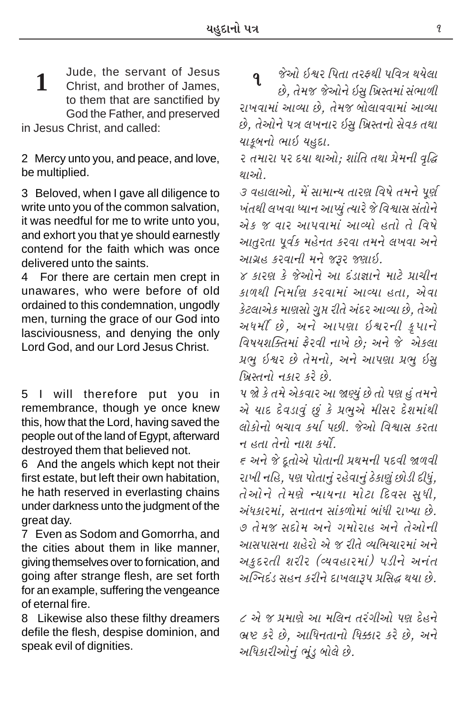Jude, the servant of Jesus **1** Jude, the servant of Jesus **q**<br>**1** Christ, and brother of James, to them that are sanctified by God the Father, and preserved

in Jesus Christ, and called:

2 Mercy unto you, and peace, and love, be multiplied.

3 Beloved, when I gave all diligence to write unto you of the common salvation, it was needful for me to write unto you, and exhort you that ye should earnestly contend for the faith which was once delivered unto the saints.

4 For there are certain men crept in unawares, who were before of old ordained to this condemnation, ungodly men, turning the grace of our God into lasciviousness, and denying the only Lord God, and our Lord Jesus Christ.

5 I will therefore put you in remembrance, though ye once knew this, how that the Lord, having saved the people out of the land of Egypt, afterward destroyed them that believed not.

6 And the angels which kept not their first estate, but left their own habitation, he hath reserved in everlasting chains under darkness unto the judgment of the great day.

7 Even as Sodom and Gomorrha, and the cities about them in like manner, giving themselves over to fornication, and going after strange flesh, are set forth for an example, suffering the vengeance of eternal fire.

8 Likewise also these filthy dreamers defile the flesh, despise dominion, and speak evil of dignities.

જેઓ ઇ*શ્વર પિતા તરફથી પવિત્ર થયેલા*  $\hat{\mathcal{B}}$ , તેમજ જેઓને ઇસ ખ્રિસ્તમાં સંભાળી રાખવામાં આવ્યા છે, તેમજ બોલાવવામાં આવ્યા  $\dot{\vartheta}$ , તેઓને ૫ત્ર લખનાર ઇસ ખ્રિસ્તનો સેવક તથા *પાકૂબનો ભાઇ યહુદા.* 

૨ તમારા પર દયા થાઓ; શાંતિ તથા પ્રેમની વૃદ્ધિ *થાઓ.* 

*3 વહાલાઓ, મેં સામાન્ય તારણ વિષે તમને પૂર્ણ ખંતથી લખવા ધ્યાન આપ્યું ત્યારે જે વિશ્વાસ સંતોને* .<br>*એક જ વાર આપવામાં આવ્યો હતો તે વિષે આતરતા પર્વક મહેનત કરવા તમને લખવા અને ykøkún fhðkLke {Lku sYh sýkR.*

*4 fkhý fu suykuLku yk Ëtzk¿kkLku {kxu «k[eLk fk¤Úke rLk{koý fhðk{kt ykÔÞk níkk, yuðk*  $\hat{s}$ ટલાએક માણસો ગુપ્ત રીતે અંદર આવ્યા છે, તેઓ અ*ધમીં છે, અને આપણા ઇશ્વરની કૃપાને rð»kÞþÂõík{kt Vuhðe Lkk¾u Au; yLku su yuf÷k*  $\mu$ *ભુ ઇશ્વર છે તેમનો, અને આપણા પ્રભુ ઇસ્ r¾úMíkLkku Lkfkh fhu Au.*

*5 òu fu ík{u yufðkh yk òÛÞwt Au íkku Ãký nwt ík{Lku એ પાદ દેવડાવું છું કે પ્રભુએ મીસર દેશમાંથી ÷kufkuLkku çk[kð fÞko ÃkAe. suyku rðïkMk fhíkk ન હતા તેનો નાશ કર્યો*.

 $\epsilon$  અને જે દતોએ પોતાની પ્રથમની પદવી જાળવી રાખી નહિ, પણ પોતાનું રહેવાનું ઠેકાણું છોડી દીધું, *íkuykuLku íku{ýu LÞkÞLkk {kuxk rËðMk MkwÄe,*  $\dot{\mathcal{P}}$ *ધકા૨માં, સનાતન સાંકળોમાં બાંધી રાખ્યા છે. 7 íku{s MkËku{ yLku øk{kuhkn yLku íkuykuLke આસપાસના શહેરો એ જ રીતે વ્યભિચારમાં અને અકુદરતી શરીર (વ્યવહારમાં) પડીને અનંત અગ્નિદંડ સહન કરીને દાખલારૂપ પ્રસિદ્ધ થયા છે.* 

*૮* એ જ પ્રમાણે આ મલિન તરંગીઓ પણ દેહને *¼úü fhu Au, ykrÄLkíkkLkku rĬkh fhu Au, yLku અધિકારીઓનું ભુંડુ બોલે છે.*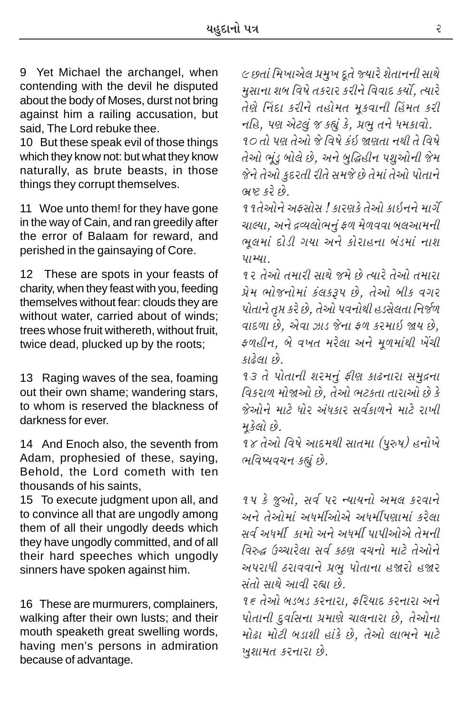9 Yet Michael the archangel, when contending with the devil he disputed about the body of Moses, durst not bring against him a railing accusation, but said. The Lord rebuke thee.

10 But these speak evil of those things which they know not: but what they know naturally, as brute beasts, in those things they corrupt themselves.

11 Woe unto them! for they have gone in the way of Cain, and ran greedily after the error of Balaam for reward, and perished in the gainsaying of Core.

 $12$ These are spots in your feasts of charity, when they feast with you, feeding themselves without fear: clouds they are without water, carried about of winds: trees whose fruit withereth, without fruit. twice dead, plucked up by the roots;

13 Raging waves of the sea, foaming out their own shame; wandering stars, to whom is reserved the blackness of darkness for ever.

14 And Enoch also, the seventh from Adam, prophesied of these, saying, Behold, the Lord cometh with ten thousands of his saints.

15 To execute judgment upon all, and to convince all that are ungodly among them of all their ungodly deeds which they have ungodly committed, and of all their hard speeches which ungodly sinners have spoken against him.

16 These are murmurers, complainers, walking after their own lusts; and their mouth speaketh great swelling words, having men's persons in admiration because of advantage.

૯ છતાં મિખાએલ પ્રમુખ દૂતે જ્યારે શેતાનની સાથે મુસાના શબ વિષે તકરાર કરીને વિવાદ કર્યો, ત્યારે તેણે નિંદા કરીને તહોમત મુકવાની હિંમત કરી નહિ, પણ એટલું જ કહ્યું કે, પ્રભુ તને ધમકાવો. ૧૦ તો પણ તેઓ જે વિષે કંઇ જાણતા નથી તે વિષે તેઓ ભૂંડ બોલે છે, અને બુદ્ધિહીન પશુઓની જેમ

જેને તેઓ કુદરતી રીતે સમજે છે તેમાં તેઓ પોતાને ભ્રષ્ટ કરે છે.

૧૧તેઓને અકસોસ ! કારણકે તેઓ કાઇનને માર્ગે ચાલ્યા. અને દ્રવ્યલોભનું ફળ મેળવવા બલઆમની ભૂલમાં દોડી ગયા અને કોરાહના બંડમાં નાશ  $41241$ 

૧૨ તેઓ તમારી સાથે જમે છે ત્યારે તેઓ તમારા પ્રેમ ભોજનોમાં કંલકરૂપ છે, તેઓ બીક વગર પોતાને તુપ્ત કરે છે, તેઓ પવનોથી હડસેલતા નિર્જળ વાદળા છે. એવા ઝાડ જેના ફળ કરમાઇ જાય છે. ફળહીન, બે વખત મરેલા અને મૂળમાંથી ખેંચી કાઢેલા છે

१३ ते पोतानी शरभनुं झीश डाढनारा समुद्रना વિકરાળ મોજાઓ છે. તેઓ ભટકતા તારાઓ છે કે જેઓને માટે ધોર અંધકાર સર્વકાળને માટે રાખી મકેલો છે.

 $98$  તેઓ વિષે આદમથી સાતમા  $(y$ રુષ) હનોખે ભવિષ્યવચન કહ્યું છે.

१५ डे ४ सी, सर्व पर न्यायनो अमल डरवाने અને તેઓમાં અધર્મીઓએ અધર્મીપણામાં કરેલા સર્વ અધર્મી કામો અને અધર્મી પાપીઓએ તેમની વિરુદ્ધ ઉચ્ચારેલા સર્વ કઠણ વચનો માટે તેઓને અપરાધી ઠરાવવાને પ્રભુ પોતાના હજારો હજાર સંતો સાથે આવી રહ્યા છે.

૧૬ તેઓ બડબડ કરનારા. ફરિયાદ કરનારા અને પોતાની દર્વાસના પ્રમાણે ચાલનારા છે. તેઓના મોઢા મોટી બડાશી હાંકે છે. તેઓ લાભને માટે ખુશામત કરનારા છે.